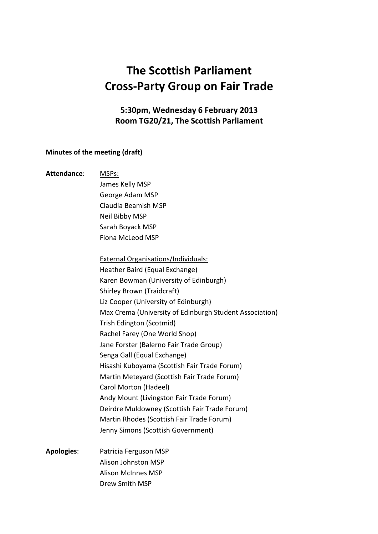## The Scottish Parliament Cross-Party Group on Fair Trade

5:30pm, Wednesday 6 February 2013 Room TG20/21, The Scottish Parliament

## Minutes of the meeting (draft)

| Attendance:       | MSPs:                                                   |
|-------------------|---------------------------------------------------------|
|                   | James Kelly MSP                                         |
|                   | George Adam MSP                                         |
|                   | Claudia Beamish MSP                                     |
|                   | Neil Bibby MSP                                          |
|                   | Sarah Boyack MSP                                        |
|                   | Fiona McLeod MSP                                        |
|                   | <b>External Organisations/Individuals:</b>              |
|                   | Heather Baird (Equal Exchange)                          |
|                   | Karen Bowman (University of Edinburgh)                  |
|                   | Shirley Brown (Traidcraft)                              |
|                   | Liz Cooper (University of Edinburgh)                    |
|                   | Max Crema (University of Edinburgh Student Association) |
|                   | Trish Edington (Scotmid)                                |
|                   | Rachel Farey (One World Shop)                           |
|                   | Jane Forster (Balerno Fair Trade Group)                 |
|                   | Senga Gall (Equal Exchange)                             |
|                   | Hisashi Kuboyama (Scottish Fair Trade Forum)            |
|                   | Martin Meteyard (Scottish Fair Trade Forum)             |
|                   | Carol Morton (Hadeel)                                   |
|                   | Andy Mount (Livingston Fair Trade Forum)                |
|                   | Deirdre Muldowney (Scottish Fair Trade Forum)           |
|                   | Martin Rhodes (Scottish Fair Trade Forum)               |
|                   | Jenny Simons (Scottish Government)                      |
| <b>Apologies:</b> | Patricia Ferguson MSP                                   |
|                   | Alison Johnston MSP                                     |
|                   | <b>Alison McInnes MSP</b>                               |

Drew Smith MSP